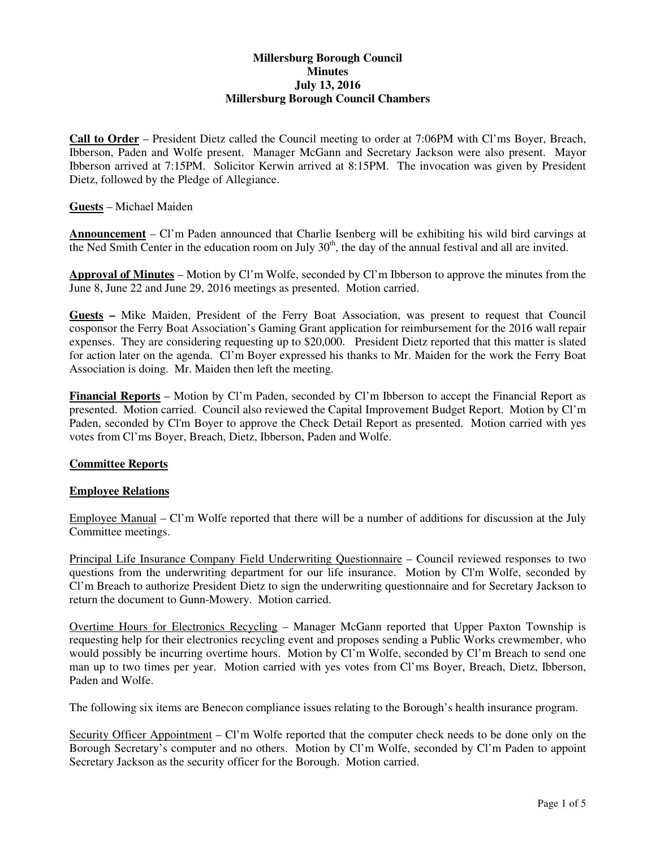### **Millersburg Borough Council Minutes July 13, 2016 Millersburg Borough Council Chambers**

**Call to Order** – President Dietz called the Council meeting to order at 7:06PM with Cl'ms Boyer, Breach, Ibberson, Paden and Wolfe present. Manager McGann and Secretary Jackson were also present. Mayor Ibberson arrived at 7:15PM. Solicitor Kerwin arrived at 8:15PM. The invocation was given by President Dietz, followed by the Pledge of Allegiance.

**Guests** – Michael Maiden

**Announcement** – Cl'm Paden announced that Charlie Isenberg will be exhibiting his wild bird carvings at the Ned Smith Center in the education room on July  $30<sup>th</sup>$ , the day of the annual festival and all are invited.

**Approval of Minutes** – Motion by Cl'm Wolfe, seconded by Cl'm Ibberson to approve the minutes from the June 8, June 22 and June 29, 2016 meetings as presented. Motion carried.

**Guests –** Mike Maiden, President of the Ferry Boat Association, was present to request that Council cosponsor the Ferry Boat Association's Gaming Grant application for reimbursement for the 2016 wall repair expenses. They are considering requesting up to \$20,000. President Dietz reported that this matter is slated for action later on the agenda. Cl'm Boyer expressed his thanks to Mr. Maiden for the work the Ferry Boat Association is doing. Mr. Maiden then left the meeting.

**Financial Reports** – Motion by Cl'm Paden, seconded by Cl'm Ibberson to accept the Financial Report as presented. Motion carried. Council also reviewed the Capital Improvement Budget Report. Motion by Cl'm Paden, seconded by Cl'm Boyer to approve the Check Detail Report as presented. Motion carried with yes votes from Cl'ms Boyer, Breach, Dietz, Ibberson, Paden and Wolfe.

### **Committee Reports**

#### **Employee Relations**

Employee Manual – Cl'm Wolfe reported that there will be a number of additions for discussion at the July Committee meetings.

Principal Life Insurance Company Field Underwriting Questionnaire – Council reviewed responses to two questions from the underwriting department for our life insurance. Motion by Cl'm Wolfe, seconded by Cl'm Breach to authorize President Dietz to sign the underwriting questionnaire and for Secretary Jackson to return the document to Gunn-Mowery. Motion carried.

Overtime Hours for Electronics Recycling – Manager McGann reported that Upper Paxton Township is requesting help for their electronics recycling event and proposes sending a Public Works crewmember, who would possibly be incurring overtime hours. Motion by Cl'm Wolfe, seconded by Cl'm Breach to send one man up to two times per year. Motion carried with yes votes from Cl'ms Boyer, Breach, Dietz, Ibberson, Paden and Wolfe.

The following six items are Benecon compliance issues relating to the Borough's health insurance program.

Security Officer Appointment – Cl'm Wolfe reported that the computer check needs to be done only on the Borough Secretary's computer and no others. Motion by Cl'm Wolfe, seconded by Cl'm Paden to appoint Secretary Jackson as the security officer for the Borough. Motion carried.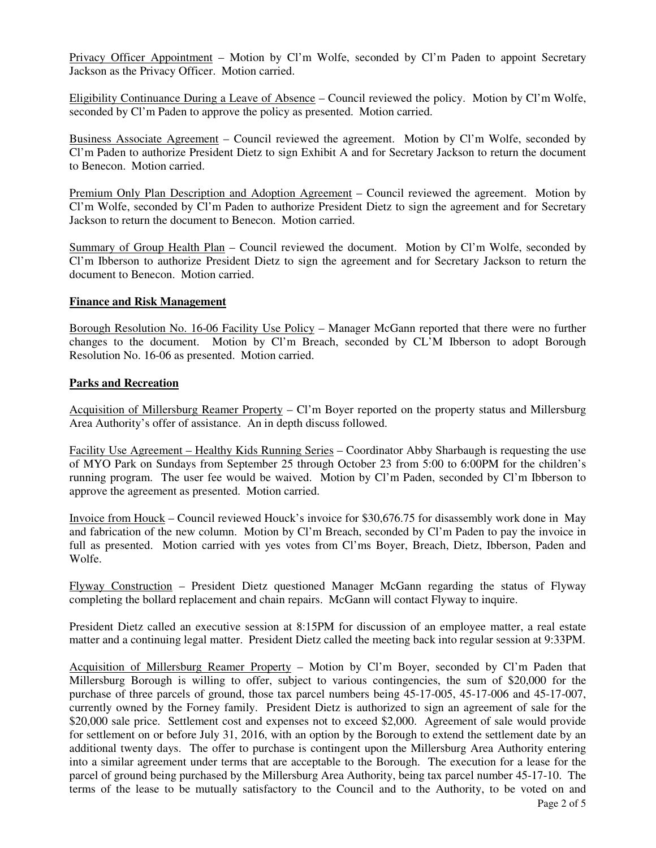Privacy Officer Appointment – Motion by Cl'm Wolfe, seconded by Cl'm Paden to appoint Secretary Jackson as the Privacy Officer. Motion carried.

Eligibility Continuance During a Leave of Absence – Council reviewed the policy. Motion by Cl'm Wolfe, seconded by Cl'm Paden to approve the policy as presented. Motion carried.

Business Associate Agreement – Council reviewed the agreement. Motion by Cl'm Wolfe, seconded by Cl'm Paden to authorize President Dietz to sign Exhibit A and for Secretary Jackson to return the document to Benecon. Motion carried.

Premium Only Plan Description and Adoption Agreement – Council reviewed the agreement. Motion by Cl'm Wolfe, seconded by Cl'm Paden to authorize President Dietz to sign the agreement and for Secretary Jackson to return the document to Benecon. Motion carried.

Summary of Group Health Plan – Council reviewed the document. Motion by Cl'm Wolfe, seconded by Cl'm Ibberson to authorize President Dietz to sign the agreement and for Secretary Jackson to return the document to Benecon. Motion carried.

#### **Finance and Risk Management**

Borough Resolution No. 16-06 Facility Use Policy – Manager McGann reported that there were no further changes to the document. Motion by Cl'm Breach, seconded by CL'M Ibberson to adopt Borough Resolution No. 16-06 as presented. Motion carried.

### **Parks and Recreation**

Acquisition of Millersburg Reamer Property – Cl'm Boyer reported on the property status and Millersburg Area Authority's offer of assistance. An in depth discuss followed.

Facility Use Agreement – Healthy Kids Running Series – Coordinator Abby Sharbaugh is requesting the use of MYO Park on Sundays from September 25 through October 23 from 5:00 to 6:00PM for the children's running program. The user fee would be waived. Motion by Cl'm Paden, seconded by Cl'm Ibberson to approve the agreement as presented. Motion carried.

Invoice from Houck – Council reviewed Houck's invoice for \$30,676.75 for disassembly work done in May and fabrication of the new column. Motion by Cl'm Breach, seconded by Cl'm Paden to pay the invoice in full as presented. Motion carried with yes votes from Cl'ms Boyer, Breach, Dietz, Ibberson, Paden and Wolfe.

Flyway Construction – President Dietz questioned Manager McGann regarding the status of Flyway completing the bollard replacement and chain repairs. McGann will contact Flyway to inquire.

President Dietz called an executive session at 8:15PM for discussion of an employee matter, a real estate matter and a continuing legal matter. President Dietz called the meeting back into regular session at 9:33PM.

Acquisition of Millersburg Reamer Property – Motion by Cl'm Boyer, seconded by Cl'm Paden that Millersburg Borough is willing to offer, subject to various contingencies, the sum of \$20,000 for the purchase of three parcels of ground, those tax parcel numbers being 45-17-005, 45-17-006 and 45-17-007, currently owned by the Forney family. President Dietz is authorized to sign an agreement of sale for the \$20,000 sale price. Settlement cost and expenses not to exceed \$2,000. Agreement of sale would provide for settlement on or before July 31, 2016, with an option by the Borough to extend the settlement date by an additional twenty days. The offer to purchase is contingent upon the Millersburg Area Authority entering into a similar agreement under terms that are acceptable to the Borough. The execution for a lease for the parcel of ground being purchased by the Millersburg Area Authority, being tax parcel number 45-17-10. The terms of the lease to be mutually satisfactory to the Council and to the Authority, to be voted on and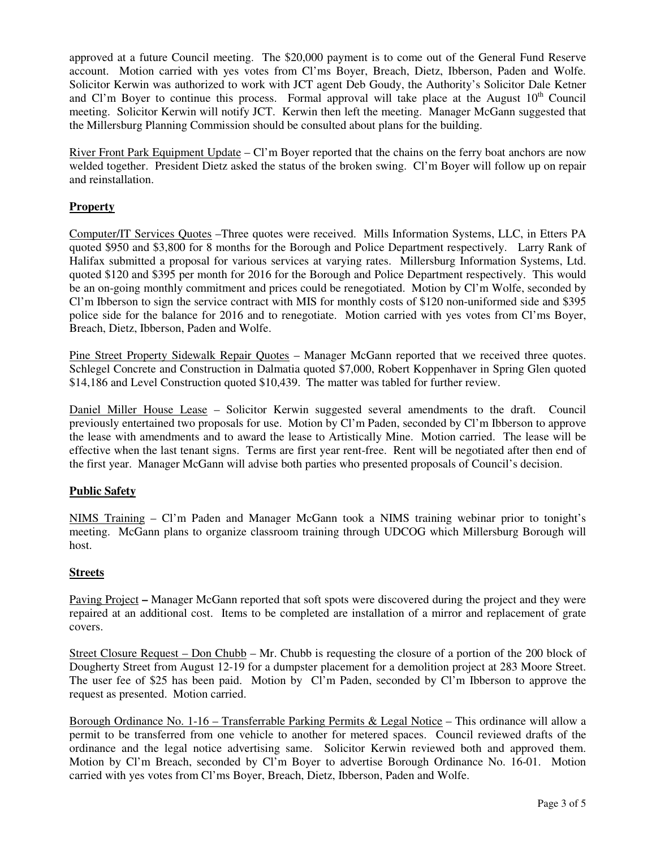approved at a future Council meeting. The \$20,000 payment is to come out of the General Fund Reserve account. Motion carried with yes votes from Cl'ms Boyer, Breach, Dietz, Ibberson, Paden and Wolfe. Solicitor Kerwin was authorized to work with JCT agent Deb Goudy, the Authority's Solicitor Dale Ketner and Cl'm Boyer to continue this process. Formal approval will take place at the August  $10<sup>th</sup>$  Council meeting. Solicitor Kerwin will notify JCT. Kerwin then left the meeting. Manager McGann suggested that the Millersburg Planning Commission should be consulted about plans for the building.

River Front Park Equipment Update – Cl'm Boyer reported that the chains on the ferry boat anchors are now welded together. President Dietz asked the status of the broken swing. Cl'm Boyer will follow up on repair and reinstallation.

# **Property**

Computer/IT Services Quotes –Three quotes were received. Mills Information Systems, LLC, in Etters PA quoted \$950 and \$3,800 for 8 months for the Borough and Police Department respectively. Larry Rank of Halifax submitted a proposal for various services at varying rates. Millersburg Information Systems, Ltd. quoted \$120 and \$395 per month for 2016 for the Borough and Police Department respectively. This would be an on-going monthly commitment and prices could be renegotiated. Motion by Cl'm Wolfe, seconded by Cl'm Ibberson to sign the service contract with MIS for monthly costs of \$120 non-uniformed side and \$395 police side for the balance for 2016 and to renegotiate. Motion carried with yes votes from Cl'ms Boyer, Breach, Dietz, Ibberson, Paden and Wolfe.

Pine Street Property Sidewalk Repair Quotes – Manager McGann reported that we received three quotes. Schlegel Concrete and Construction in Dalmatia quoted \$7,000, Robert Koppenhaver in Spring Glen quoted \$14,186 and Level Construction quoted \$10,439. The matter was tabled for further review.

Daniel Miller House Lease – Solicitor Kerwin suggested several amendments to the draft. Council previously entertained two proposals for use. Motion by Cl'm Paden, seconded by Cl'm Ibberson to approve the lease with amendments and to award the lease to Artistically Mine. Motion carried. The lease will be effective when the last tenant signs. Terms are first year rent-free. Rent will be negotiated after then end of the first year. Manager McGann will advise both parties who presented proposals of Council's decision.

### **Public Safety**

NIMS Training – Cl'm Paden and Manager McGann took a NIMS training webinar prior to tonight's meeting. McGann plans to organize classroom training through UDCOG which Millersburg Borough will host.

### **Streets**

Paving Project **–** Manager McGann reported that soft spots were discovered during the project and they were repaired at an additional cost. Items to be completed are installation of a mirror and replacement of grate covers.

Street Closure Request – Don Chubb – Mr. Chubb is requesting the closure of a portion of the 200 block of Dougherty Street from August 12-19 for a dumpster placement for a demolition project at 283 Moore Street. The user fee of \$25 has been paid. Motion by Cl'm Paden, seconded by Cl'm Ibberson to approve the request as presented. Motion carried.

Borough Ordinance No. 1-16 – Transferrable Parking Permits & Legal Notice – This ordinance will allow a permit to be transferred from one vehicle to another for metered spaces. Council reviewed drafts of the ordinance and the legal notice advertising same. Solicitor Kerwin reviewed both and approved them. Motion by Cl'm Breach, seconded by Cl'm Boyer to advertise Borough Ordinance No. 16-01. Motion carried with yes votes from Cl'ms Boyer, Breach, Dietz, Ibberson, Paden and Wolfe.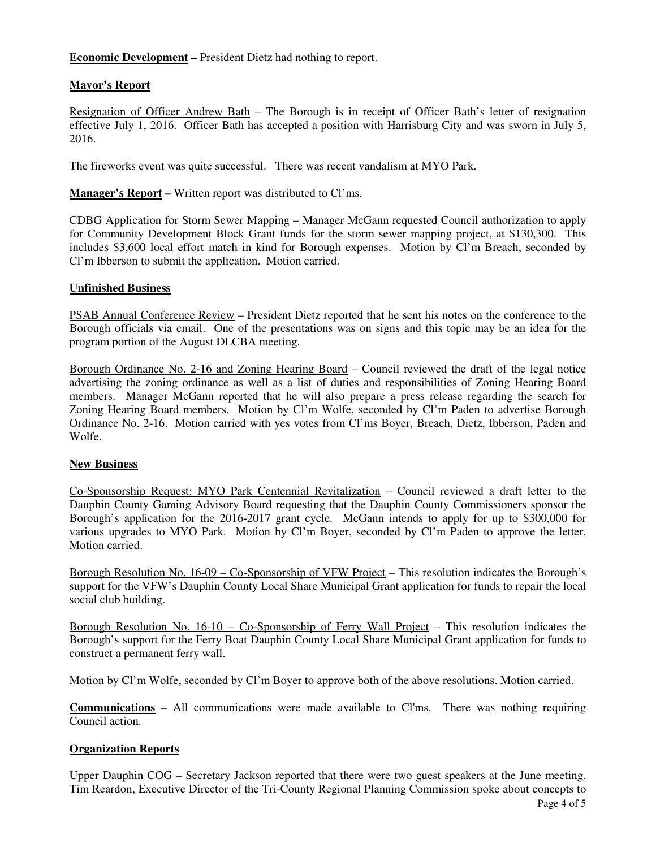**Economic Development –** President Dietz had nothing to report.

# **Mayor's Report**

Resignation of Officer Andrew Bath – The Borough is in receipt of Officer Bath's letter of resignation effective July 1, 2016. Officer Bath has accepted a position with Harrisburg City and was sworn in July 5, 2016.

The fireworks event was quite successful. There was recent vandalism at MYO Park.

**Manager's Report –** Written report was distributed to Cl'ms.

CDBG Application for Storm Sewer Mapping – Manager McGann requested Council authorization to apply for Community Development Block Grant funds for the storm sewer mapping project, at \$130,300. This includes \$3,600 local effort match in kind for Borough expenses. Motion by Cl'm Breach, seconded by Cl'm Ibberson to submit the application. Motion carried.

### **Unfinished Business**

PSAB Annual Conference Review – President Dietz reported that he sent his notes on the conference to the Borough officials via email. One of the presentations was on signs and this topic may be an idea for the program portion of the August DLCBA meeting.

Borough Ordinance No. 2-16 and Zoning Hearing Board – Council reviewed the draft of the legal notice advertising the zoning ordinance as well as a list of duties and responsibilities of Zoning Hearing Board members. Manager McGann reported that he will also prepare a press release regarding the search for Zoning Hearing Board members. Motion by Cl'm Wolfe, seconded by Cl'm Paden to advertise Borough Ordinance No. 2-16. Motion carried with yes votes from Cl'ms Boyer, Breach, Dietz, Ibberson, Paden and Wolfe.

### **New Business**

Co-Sponsorship Request: MYO Park Centennial Revitalization – Council reviewed a draft letter to the Dauphin County Gaming Advisory Board requesting that the Dauphin County Commissioners sponsor the Borough's application for the 2016-2017 grant cycle. McGann intends to apply for up to \$300,000 for various upgrades to MYO Park. Motion by Cl'm Boyer, seconded by Cl'm Paden to approve the letter. Motion carried.

Borough Resolution No. 16-09 – Co-Sponsorship of VFW Project – This resolution indicates the Borough's support for the VFW's Dauphin County Local Share Municipal Grant application for funds to repair the local social club building.

Borough Resolution No. 16-10 – Co-Sponsorship of Ferry Wall Project – This resolution indicates the Borough's support for the Ferry Boat Dauphin County Local Share Municipal Grant application for funds to construct a permanent ferry wall.

Motion by Cl'm Wolfe, seconded by Cl'm Boyer to approve both of the above resolutions. Motion carried.

**Communications** – All communications were made available to Cl'ms. There was nothing requiring Council action.

### **Organization Reports**

Upper Dauphin COG – Secretary Jackson reported that there were two guest speakers at the June meeting. Tim Reardon, Executive Director of the Tri-County Regional Planning Commission spoke about concepts to